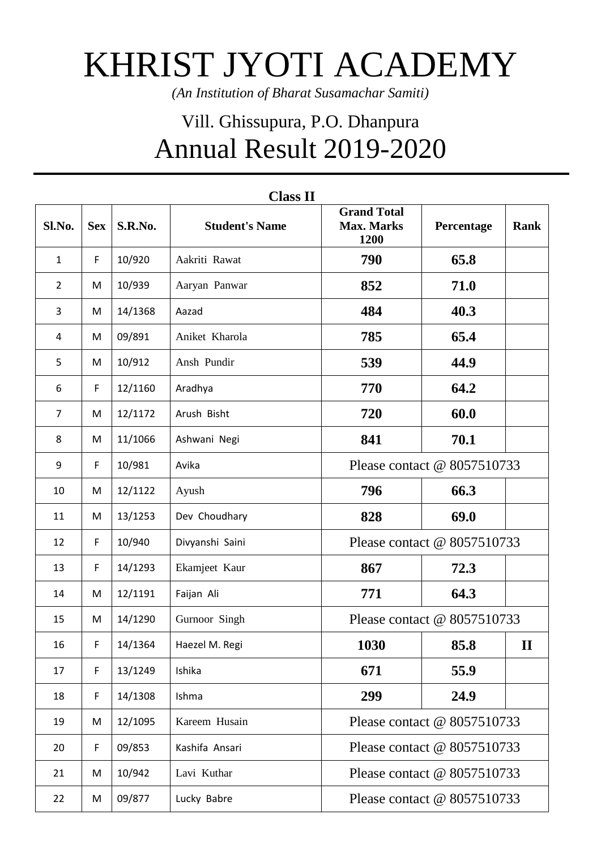## KHRIST JYOTI ACADEMY

*(An Institution of Bharat Susamachar Samiti)*

## Vill. Ghissupura, P.O. Dhanpura Annual Result 2019-2020

| <b>Class II</b> |            |         |                       |                                                 |                             |             |  |  |  |  |
|-----------------|------------|---------|-----------------------|-------------------------------------------------|-----------------------------|-------------|--|--|--|--|
| Sl.No.          | <b>Sex</b> | S.R.No. | <b>Student's Name</b> | <b>Grand Total</b><br><b>Max. Marks</b><br>1200 | Percentage                  | <b>Rank</b> |  |  |  |  |
| $\mathbf{1}$    | F          | 10/920  | Aakriti Rawat         | 790                                             | 65.8                        |             |  |  |  |  |
| $\overline{2}$  | M          | 10/939  | Aaryan Panwar         | 852                                             | 71.0                        |             |  |  |  |  |
| 3               | M          | 14/1368 | Aazad                 | 484                                             | 40.3                        |             |  |  |  |  |
| 4               | M          | 09/891  | Aniket Kharola        | 785                                             | 65.4                        |             |  |  |  |  |
| 5               | M          | 10/912  | Ansh Pundir           | 539                                             | 44.9                        |             |  |  |  |  |
| 6               | F          | 12/1160 | Aradhya               | 770                                             | 64.2                        |             |  |  |  |  |
| $\overline{7}$  | M          | 12/1172 | Arush Bisht           | 720                                             | 60.0                        |             |  |  |  |  |
| 8               | M          | 11/1066 | Ashwani Negi          | 841                                             | 70.1                        |             |  |  |  |  |
| 9               | F          | 10/981  | Avika                 | Please contact @ 8057510733                     |                             |             |  |  |  |  |
| 10              | M          | 12/1122 | Ayush                 | 796                                             | 66.3                        |             |  |  |  |  |
| 11              | M          | 13/1253 | Dev Choudhary         | 828                                             | 69.0                        |             |  |  |  |  |
| 12              | F          | 10/940  | Divyanshi Saini       | Please contact @ 8057510733                     |                             |             |  |  |  |  |
| 13              | F          | 14/1293 | Ekamjeet Kaur         | 867                                             | 72.3                        |             |  |  |  |  |
| 14              | M          | 12/1191 | Faijan Ali            | 771                                             | 64.3                        |             |  |  |  |  |
| 15              | M          | 14/1290 | Gurnoor Singh         | Please contact @ 8057510733                     |                             |             |  |  |  |  |
| 16              | F          | 14/1364 | Haezel M. Regi        | 1030                                            | 85.8                        | $\mathbf H$ |  |  |  |  |
| 17              | F          | 13/1249 | Ishika                | 671                                             | 55.9                        |             |  |  |  |  |
| 18              | F          | 14/1308 | Ishma                 | 299                                             | 24.9                        |             |  |  |  |  |
| 19              | M          | 12/1095 | Kareem Husain         | Please contact @ 8057510733                     |                             |             |  |  |  |  |
| 20              | F          | 09/853  | Kashifa Ansari        | Please contact @ 8057510733                     |                             |             |  |  |  |  |
| 21              | M          | 10/942  | Lavi Kuthar           | Please contact @ 8057510733                     |                             |             |  |  |  |  |
| 22              | M          | 09/877  | Lucky Babre           |                                                 | Please contact @ 8057510733 |             |  |  |  |  |